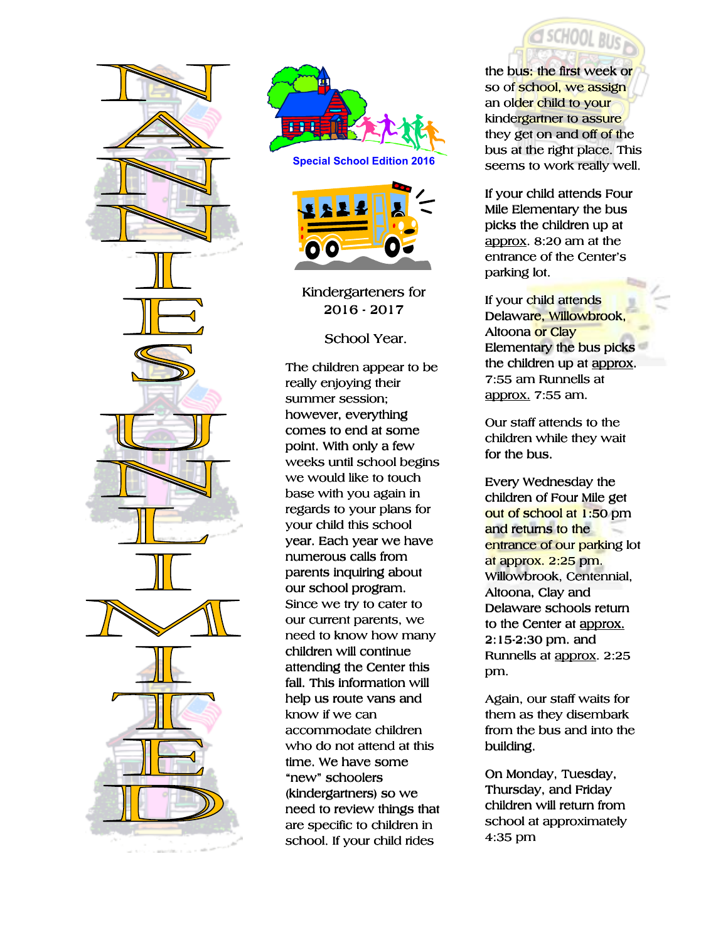



**Special School Edition 2016** 



Kindergarteners for 2016-2017

School Year.

The children appear to be really enjoying their summer session; however, everything comes to end at some point. With only a few weeks until school begins we would like to touch base with you again in regards to your plans for your child this school year. Each year we have numerous calls from parents inquiring about our school program. Since we try to cater to our current parents, we need to know how many children will continue attending the Center this fall. This information will help us route vans and know if we can accommodate children who do not attend at this time. We have some "new" schoolers (kindergartners) so we need to review things that are specific to children in school. If your child rides

the bus: the first week or so of school, we assign an older child to your kindergartner to assure they get on and off of the bus at the right place. This seems to work really well.

SCHOOL BUS

If your child attends Four Mile Elementary the bus picks the children up at approx.  $8:20$  am at the entrance of the Center's parking lot.

If your child attends Delaware, Willowbrook, Altoona or Clay Elementary the bus picks the children up at approx. 7:55 am Runnells at approx. 7:55 am.

Our staff attends to the children while they wait for the bus.

Every Wednesday the children of Four Mile get out of school at 1:50 pm and returns to the entrance of our parking lot at approx. 2:25 pm. Willowbrook, Centennial, Altoona, Clay and Delaware schools return to the Center at approx.  $2:15-2:30$  pm. and Runnells at approx. 2:25 pm.

Again, our staff waits for them as they disembark from the bus and into the building.

On Monday, Tuesday, Thursday, and Friday children will return from school at approximately 4:35 pm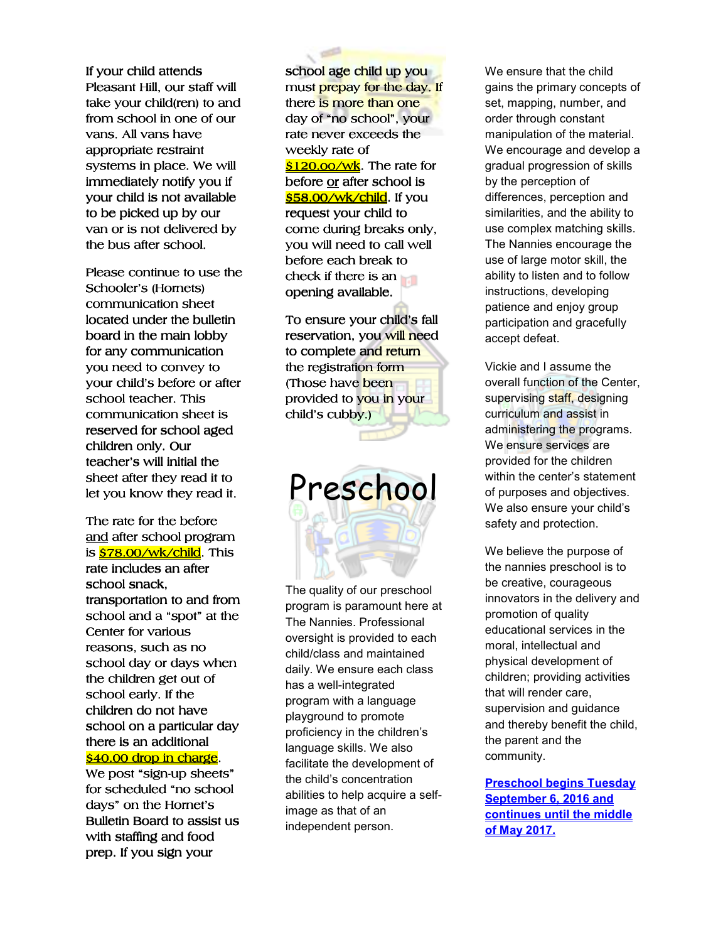If your child attends Pleasant Hill, our staff will take your child(ren) to and from school in one of our vans. All vans have appropriate restraint systems in place. We will immediately notify you if your child is not available to be picked up by our van or is not delivered by the bus after school.

Please continue to use the Schooler's (Hornets) communication sheet located under the bulletin board in the main lobby for any communication you need to convey to your child's before or after school teacher. This communication sheet is reserved for school aged children only. Our teacher's will initial the sheet after they read it to let you know they read it.

The rate for the before and after school program is <mark>\$78.00/wk/child</mark>. This rate includes an after school snack, transportation to and from school and a "spot" at the Center for various reasons, such as no school day or days when the children get out of school early. If the children do not have school on a particular day there is an additional s40.00 drop in charge.

We post "sign-up sheets" for scheduled "no school days" on the Hornet's Bulletin Board to assist us with staffing and food prep. If you sign your

school age child up you must prepay for the day. If there is more than one day of "no school", your rate never exceeds the weekly rate of \$120.oo/wk. The rate for before or after school is \$58.00/wk/child. If you request your child to come during breaks only, you will need to call well before each break to check if there is an opening available.

To ensure your child's fall reservation, you will need to complete and return the registration form (Those have been provided to you in your child's cubby.)

Preschool

The quality of our preschool program is paramount here at The Nannies. Professional oversight is provided to each child/class and maintained daily. We ensure each class has a well-integrated program with a language playground to promote proficiency in the children's language skills. We also facilitate the development of the child's concentration abilities to help acquire a selfimage as that of an independent person.

We ensure that the child gains the primary concepts of set, mapping, number, and order through constant manipulation of the material. We encourage and develop a gradual progression of skills by the perception of differences, perception and similarities, and the ability to use complex matching skills. The Nannies encourage the use of large motor skill, the ability to listen and to follow instructions, developing patience and enjoy group participation and gracefully accept defeat.

Vickie and I assume the overall function of the Center, supervising staff, designing curriculum and assist in administering the programs. We ensure services are provided for the children within the center's statement of purposes and objectives. We also ensure your child's safety and protection.

We believe the purpose of the nannies preschool is to be creative, courageous innovators in the delivery and promotion of quality educational services in the moral, intellectual and physical development of children; providing activities that will render care, supervision and guidance and thereby benefit the child, the parent and the community.

**Preschool begins Tuesday September 6, 2016 and continues until the middle of May 2017.**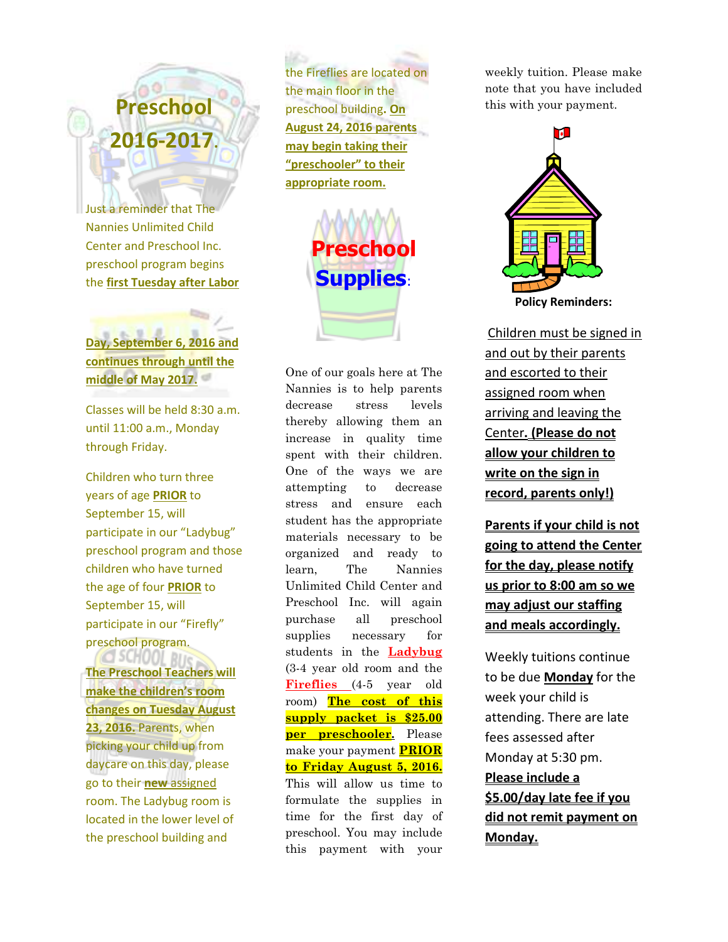# **Preschool 2016-2017.**

Just a reminder that The Nannies Unlimited Child Center and Preschool Inc. preschool program begins the **first Tuesday after Labor** 

**Day, September 6, 2016 and continues through until the middle of May 2017.** 

Classes will be held 8:30 a.m. until 11:00 a.m., Monday through Friday.

Children who turn three years of age **PRIOR** to September 15, will participate in our "Ladybug" preschool program and those children who have turned the age of four **PRIOR** to September 15, will participate in our "Firefly" preschool program.

**CSCHOOL RUG The Preschool Teachers will make the children's room changes on Tuesday August 23, 2016.** Parents, when picking your child up from daycare on this day, please go to their **new** assigned room. The Ladybug room is located in the lower level of the preschool building and

the Fireflies are located on the main floor in the preschool building**. On August 24, 2016 parents may begin taking their "preschooler" to their appropriate room.**



One of our goals here at The Nannies is to help parents decrease stress levels thereby allowing them an increase in quality time spent with their children. One of the ways we are attempting to decrease stress and ensure each student has the appropriate materials necessary to be organized and ready to learn, The Nannies Unlimited Child Center and Preschool Inc. will again purchase all preschool supplies necessary for students in the **Ladybug** (3-4 year old room and the **Fireflies** (4-5 year old room) **The cost of this supply packet is \$25.00 per preschooler.** Please make your payment **PRIOR to Friday August 5, 2016.** This will allow us time to formulate the supplies in time for the first day of preschool. You may include this payment with your

weekly tuition. Please make note that you have included this with your payment.



Children must be signed in and out by their parents and escorted to their assigned room when arriving and leaving the Center**. (Please do not allow your children to write on the sign in record, parents only!)** 

**Parents if your child is not going to attend the Center for the day, please notify us prior to 8:00 am so we may adjust our staffing and meals accordingly.** 

Weekly tuitions continue to be due **Monday** for the week your child is attending. There are late fees assessed after Monday at 5:30 pm. **Please include a \$5.00/day late fee if you did not remit payment on Monday.**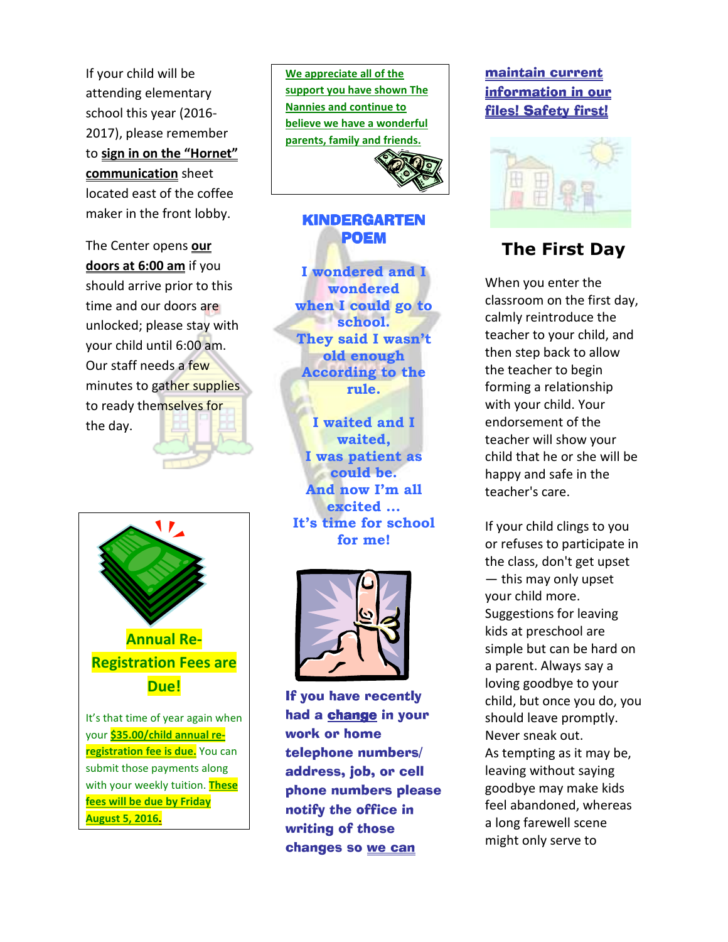If your child will be attending elementary school this year (2016- 2017), please remember to **sign in on the "Hornet" communication** sheet located east of the coffee maker in the front lobby.

The Center opens **our doors at 6:00 am** if you should arrive prior to this time and our doors are unlocked; please stay with your child until 6:00 am. Our staff needs a few minutes to gather supplies to ready themselves for the day.



your **\$35.00/child annual reregistration fee is due.** You can submit those payments along with your weekly tuition. **These fees will be due by Friday August 5, 2016.** 

**We appreciate all of the support you have shown The Nannies and continue to believe we have a wonderful parents, family and friends.** 



#### KINDERGARTEN POEM

**I wondered and I wondered when I could go to school. They said I wasn't old enough According to the rule.**

**I waited and I waited, I was patient as could be. And now I'm all excited ... It's time for school for me!**



If you have recently had a change in your work or home telephone numbers/ address, job, or cell phone numbers please notify the office in writing of those changes so we can

### maintain current information in our files! Safety first!



## **The First Day**

When you enter the classroom on the first day, calmly reintroduce the teacher to your child, and then step back to allow the teacher to begin forming a relationship with your child. Your endorsement of the teacher will show your child that he or she will be happy and safe in the teacher's care.

If your child clings to you or refuses to participate in the class, don't get upset — this may only upset your child more. Suggestions for leaving kids at preschool are simple but can be hard on a parent. Always say a loving goodbye to your child, but once you do, you should leave promptly. Never sneak out. As tempting as it may be, leaving without saying goodbye may make kids feel abandoned, whereas a long farewell scene might only serve to